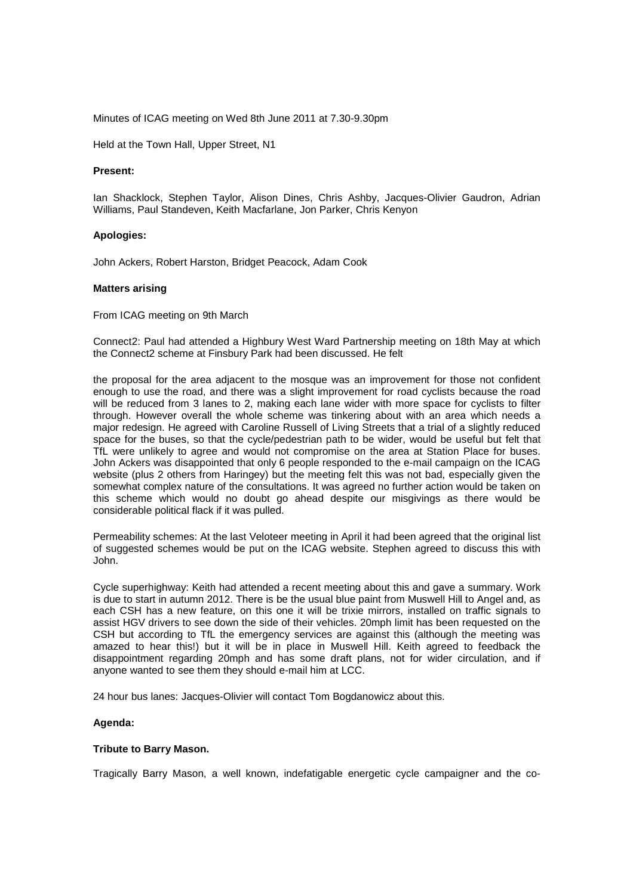Minutes of ICAG meeting on Wed 8th June 2011 at 7.30-9.30pm

Held at the Town Hall, Upper Street, N1

# **Present:**

Ian Shacklock, Stephen Taylor, Alison Dines, Chris Ashby, Jacques-Olivier Gaudron, Adrian Williams, Paul Standeven, Keith Macfarlane, Jon Parker, Chris Kenyon

# **Apologies:**

John Ackers, Robert Harston, Bridget Peacock, Adam Cook

# **Matters arising**

From ICAG meeting on 9th March

Connect2: Paul had attended a Highbury West Ward Partnership meeting on 18th May at which the Connect2 scheme at Finsbury Park had been discussed. He felt

the proposal for the area adjacent to the mosque was an improvement for those not confident enough to use the road, and there was a slight improvement for road cyclists because the road will be reduced from 3 lanes to 2, making each lane wider with more space for cyclists to filter through. However overall the whole scheme was tinkering about with an area which needs a major redesign. He agreed with Caroline Russell of Living Streets that a trial of a slightly reduced space for the buses, so that the cycle/pedestrian path to be wider, would be useful but felt that TfL were unlikely to agree and would not compromise on the area at Station Place for buses. John Ackers was disappointed that only 6 people responded to the e-mail campaign on the ICAG website (plus 2 others from Haringey) but the meeting felt this was not bad, especially given the somewhat complex nature of the consultations. It was agreed no further action would be taken on this scheme which would no doubt go ahead despite our misgivings as there would be considerable political flack if it was pulled.

Permeability schemes: At the last Veloteer meeting in April it had been agreed that the original list of suggested schemes would be put on the ICAG website. Stephen agreed to discuss this with John.

Cycle superhighway: Keith had attended a recent meeting about this and gave a summary. Work is due to start in autumn 2012. There is be the usual blue paint from Muswell Hill to Angel and, as each CSH has a new feature, on this one it will be trixie mirrors, installed on traffic signals to assist HGV drivers to see down the side of their vehicles. 20mph limit has been requested on the CSH but according to TfL the emergency services are against this (although the meeting was amazed to hear this!) but it will be in place in Muswell Hill. Keith agreed to feedback the disappointment regarding 20mph and has some draft plans, not for wider circulation, and if anyone wanted to see them they should e-mail him at LCC.

24 hour bus lanes: Jacques-Olivier will contact Tom Bogdanowicz about this.

# **Agenda:**

#### **Tribute to Barry Mason.**

Tragically Barry Mason, a well known, indefatigable energetic cycle campaigner and the co-